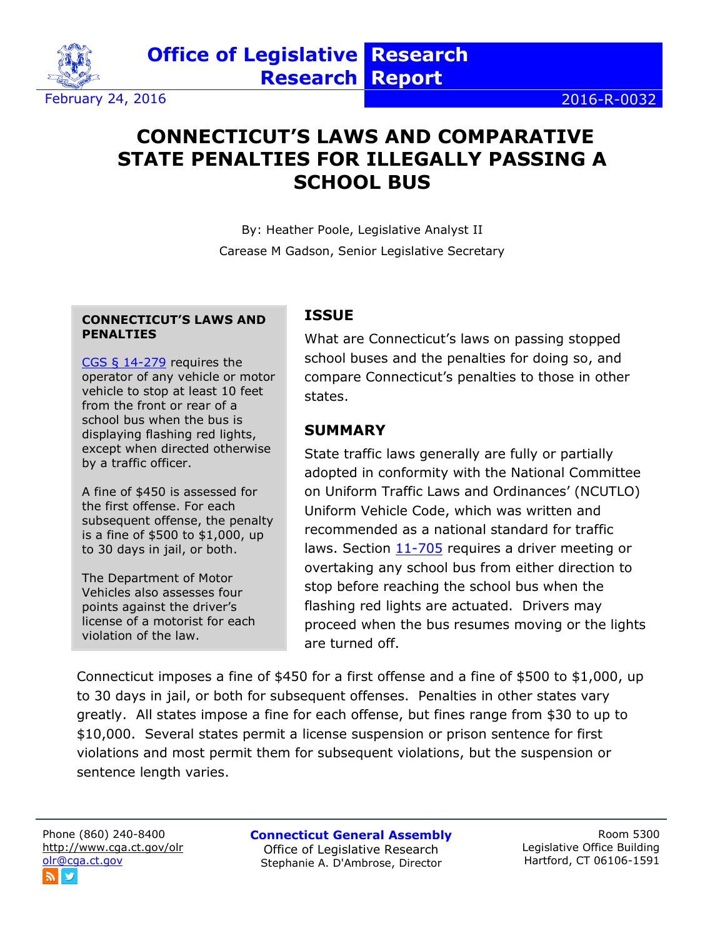

# **CONNECTICUT'S LAWS AND COMPARATIVE STATE PENALTIES FOR ILLEGALLY PASSING A SCHOOL BUS**

By: Heather Poole, Legislative Analyst II Carease M Gadson, Senior Legislative Secretary

#### **CONNECTICUT'S LAWS AND PENALTIES**

[CGS § 14-279](http://cgalites/current/pub/chap_248.htm#sec_14-279) requires the operator of any vehicle or motor vehicle to stop at least 10 feet from the front or rear of a school bus when the bus is displaying flashing red lights, except when directed otherwise by a traffic officer.

A fine of \$450 is assessed for the first offense. For each subsequent offense, the penalty is a fine of \$500 to \$1,000, up to 30 days in jail, or both.

The Department of Motor Vehicles also assesses four points against the driver's license of a motorist for each violation of the law.

### **ISSUE**

What are Connecticut's laws on passing stopped school buses and the penalties for doing so, and compare Connecticut's penalties to those in other states.

### **SUMMARY**

State traffic laws generally are fully or partially adopted in conformity with the National Committee on Uniform Traffic Laws and Ordinances' (NCUTLO) Uniform Vehicle Code, which was written and recommended as a national standard for traffic laws. Section [11-705](http://www.ncutcd.org/doc/Chapter1&11OriginalW5415%20PDF%20File%20Recd%205-7-15.pdf) requires a driver meeting or overtaking any school bus from either direction to stop before reaching the school bus when the flashing red lights are actuated. Drivers may proceed when the bus resumes moving or the lights are turned off.

Connecticut imposes a fine of \$450 for a first offense and a fine of \$500 to \$1,000, up to 30 days in jail, or both for subsequent offenses. Penalties in other states vary greatly. All states impose a fine for each offense, but fines range from \$30 to up to \$10,000. Several states permit a license suspension or prison sentence for first violations and most permit them for subsequent violations, but the suspension or sentence length varies.

Phone (860) 240-8400 <http://www.cga.ct.gov/olr> [olr@cga.ct.gov](mailto:olr@cga.ct.gov)

**Connecticut General Assembly** Office of Legislative Research Stephanie A. D'Ambrose, Director

Room 5300 Legislative Office Building Hartford, CT 06106-1591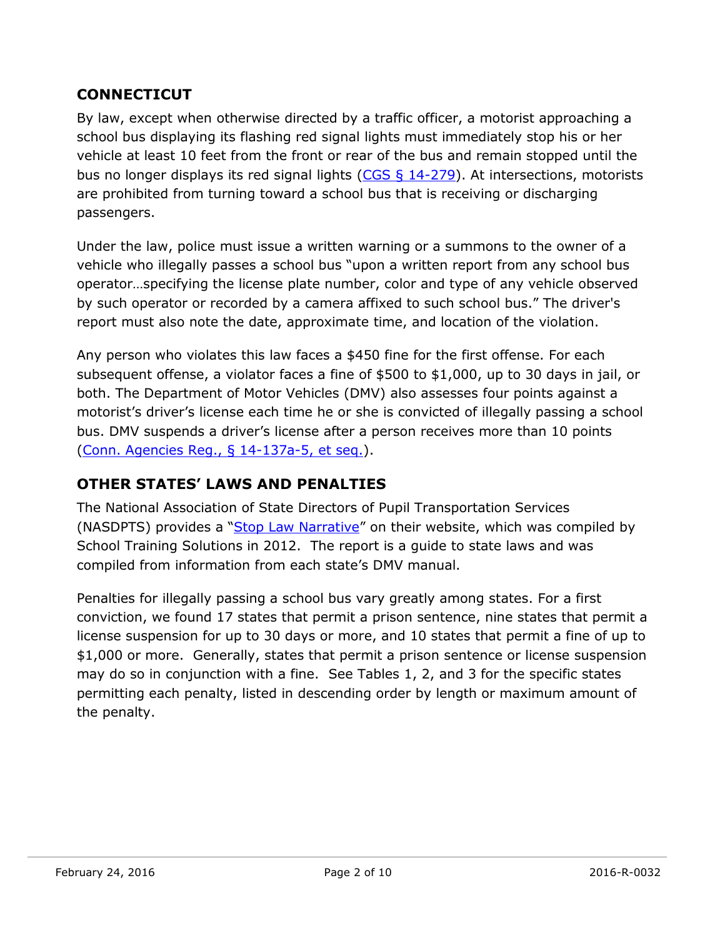### **CONNECTICUT**

By law, except when otherwise directed by a traffic officer, a motorist approaching a school bus displaying its flashing red signal lights must immediately stop his or her vehicle at least 10 feet from the front or rear of the bus and remain stopped until the bus no longer displays its red signal lights  $(CGS \, \S \, 14-279)$ . At intersections, motorists are prohibited from turning toward a school bus that is receiving or discharging passengers.

Under the law, police must issue a written warning or a summons to the owner of a vehicle who illegally passes a school bus "upon a written report from any school bus operator…specifying the license plate number, color and type of any vehicle observed by such operator or recorded by a camera affixed to such school bus." The driver's report must also note the date, approximate time, and location of the violation.

Any person who violates this law faces a \$450 fine for the first offense. For each subsequent offense, a violator faces a fine of \$500 to \$1,000, up to 30 days in jail, or both. The Department of Motor Vehicles (DMV) also assesses four points against a motorist's driver's license each time he or she is convicted of illegally passing a school bus. DMV suspends a driver's license after a person receives more than 10 points [\(Conn. Agencies Reg., § 14-137a-5, et seq.\)](http://www.sots.ct.gov/sots/lib/sots/regulations/title_14/137a.pdf).

## **OTHER STATES' LAWS AND PENALTIES**

The National Association of State Directors of Pupil Transportation Services (NASDPTS) provides a "[Stop Law Narrative](http://www.nasdpts.org/Operations/documents/State_Laws_Regarding_Passing_School_Buses.pdf)" on their website, which was compiled by School Training Solutions in 2012. The report is a guide to state laws and was compiled from information from each state's DMV manual.

Penalties for illegally passing a school bus vary greatly among states. For a first conviction, we found 17 states that permit a prison sentence, nine states that permit a license suspension for up to 30 days or more, and 10 states that permit a fine of up to \$1,000 or more. Generally, states that permit a prison sentence or license suspension may do so in conjunction with a fine. See Tables 1, 2, and 3 for the specific states permitting each penalty, listed in descending order by length or maximum amount of the penalty.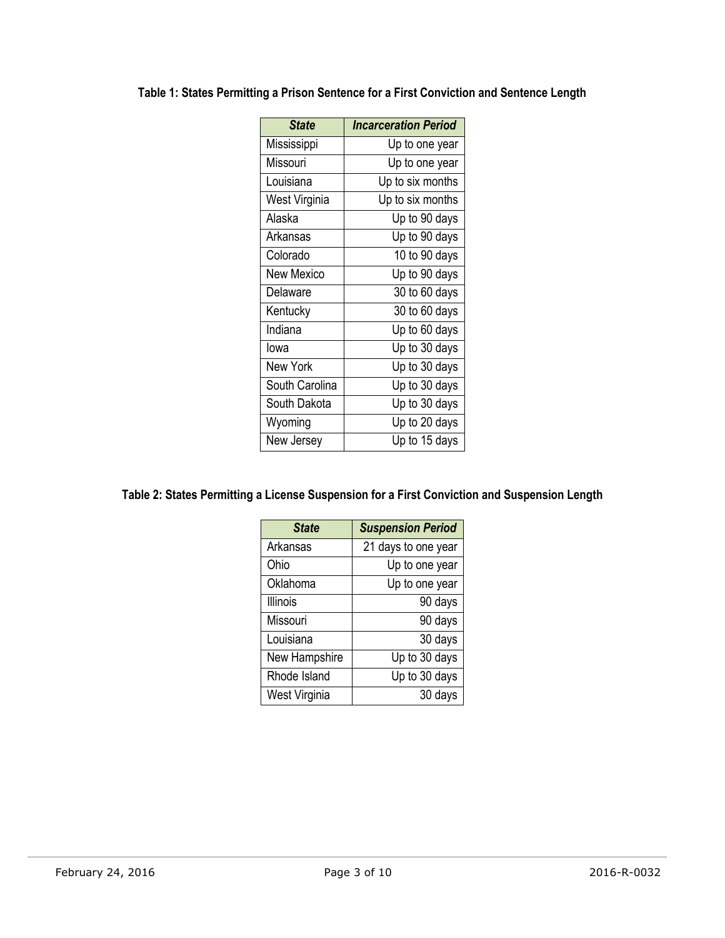| <b>State</b>      | <b>Incarceration Period</b> |
|-------------------|-----------------------------|
| Mississippi       | Up to one year              |
| Missouri          | Up to one year              |
| Louisiana         | Up to six months            |
| West Virginia     | Up to six months            |
| Alaska            | Up to 90 days               |
| Arkansas          | Up to 90 days               |
| Colorado          | 10 to 90 days               |
| <b>New Mexico</b> | Up to 90 days               |
| Delaware          | 30 to 60 days               |
| Kentucky          | 30 to 60 days               |
| Indiana           | Up to 60 days               |
| lowa              | Up to 30 days               |
| <b>New York</b>   | Up to 30 days               |
| South Carolina    | Up to 30 days               |
| South Dakota      | Up to 30 days               |
| Wyoming           | Up to 20 days               |
| New Jersey        | Up to 15 days               |

### **Table 1: States Permitting a Prison Sentence for a First Conviction and Sentence Length**

#### **Table 2: States Permitting a License Suspension for a First Conviction and Suspension Length**

| <b>State</b>    | <b>Suspension Period</b> |
|-----------------|--------------------------|
| Arkansas        | 21 days to one year      |
| Ohio            | Up to one year           |
| Oklahoma        | Up to one year           |
| <b>Illinois</b> | 90 days                  |
| Missouri        | 90 days                  |
| Louisiana       | 30 days                  |
| New Hampshire   | Up to 30 days            |
| Rhode Island    | Up to 30 days            |
| West Virginia   | 30 days                  |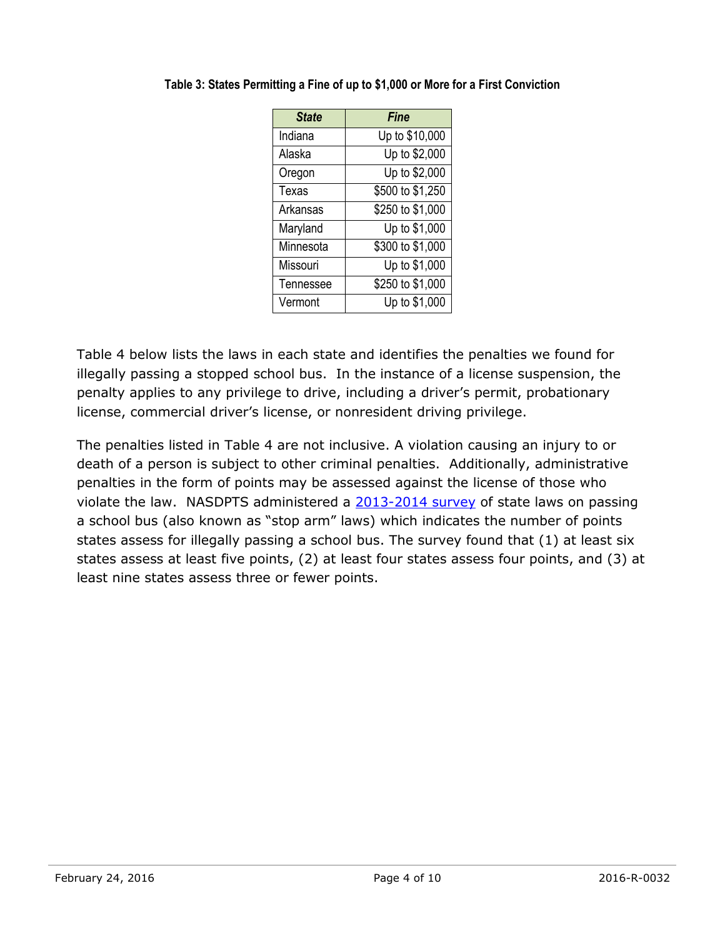| <b>State</b> | <b>Fine</b>      |
|--------------|------------------|
| Indiana      | Up to \$10,000   |
| Alaska       | Up to \$2,000    |
| Oregon       | Up to \$2,000    |
| Texas        | \$500 to \$1,250 |
| Arkansas     | \$250 to \$1,000 |
| Maryland     | Up to \$1,000    |
| Minnesota    | \$300 to \$1,000 |
| Missouri     | Up to \$1,000    |
| Tennessee    | \$250 to \$1,000 |
| Vermont      | Up to \$1,000    |

**Table 3: States Permitting a Fine of up to \$1,000 or More for a First Conviction**

Table 4 below lists the laws in each state and identifies the penalties we found for illegally passing a stopped school bus. In the instance of a license suspension, the penalty applies to any privilege to drive, including a driver's permit, probationary license, commercial driver's license, or nonresident driving privilege.

The penalties listed in Table 4 are not inclusive. A violation causing an injury to or death of a person is subject to other criminal penalties. Additionally, administrative penalties in the form of points may be assessed against the license of those who violate the law. NASDPTS administered a [2013-2014](http://www.nasdpts.org/StopArm/documents/StateStopArmLawSurvey_NASDPTS2014.pdf) survey of state laws on passing a school bus (also known as "stop arm" laws) which indicates the number of points states assess for illegally passing a school bus. The survey found that (1) at least six states assess at least five points, (2) at least four states assess four points, and (3) at least nine states assess three or fewer points.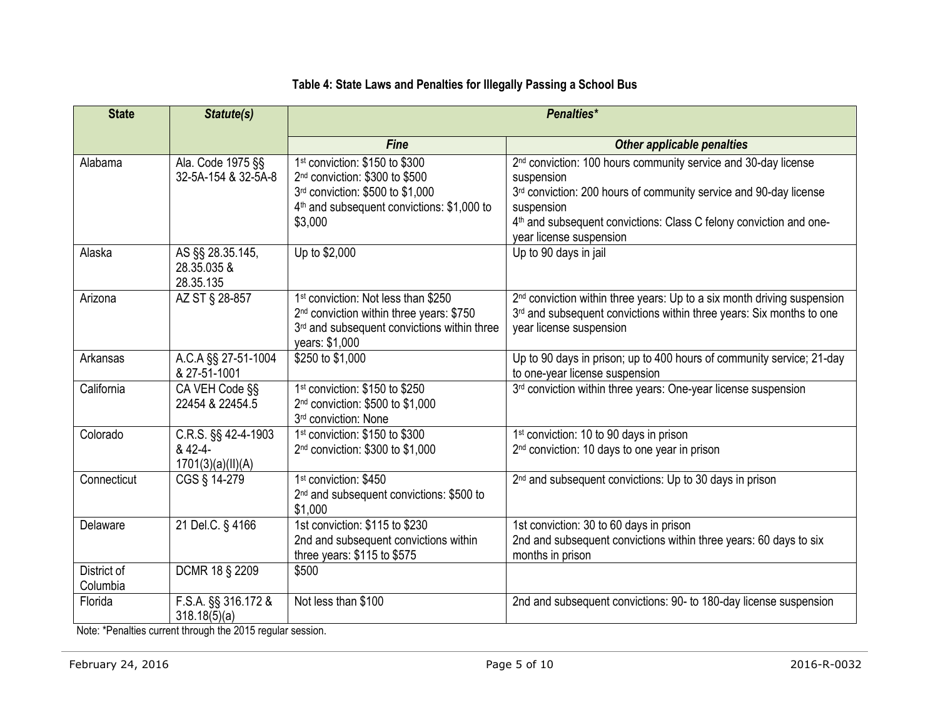### **Table 4: State Laws and Penalties for Illegally Passing a School Bus**

| <b>State</b>            | Statute(s)                                          | Penalties*                                                                                                                                                                            |                                                                                                                                                                                                                                                                                          |
|-------------------------|-----------------------------------------------------|---------------------------------------------------------------------------------------------------------------------------------------------------------------------------------------|------------------------------------------------------------------------------------------------------------------------------------------------------------------------------------------------------------------------------------------------------------------------------------------|
|                         |                                                     | <b>Fine</b>                                                                                                                                                                           | Other applicable penalties                                                                                                                                                                                                                                                               |
| Alabama                 | Ala. Code 1975 §§<br>32-5A-154 & 32-5A-8            | 1st conviction: \$150 to \$300<br>2 <sup>nd</sup> conviction: \$300 to \$500<br>3rd conviction: \$500 to \$1,000<br>4 <sup>th</sup> and subsequent convictions: \$1,000 to<br>\$3,000 | 2 <sup>nd</sup> conviction: 100 hours community service and 30-day license<br>suspension<br>3rd conviction: 200 hours of community service and 90-day license<br>suspension<br>4 <sup>th</sup> and subsequent convictions: Class C felony conviction and one-<br>year license suspension |
| Alaska                  | AS §§ 28.35.145,<br>28.35.035 &<br>28.35.135        | Up to \$2,000                                                                                                                                                                         | Up to 90 days in jail                                                                                                                                                                                                                                                                    |
| Arizona                 | AZ ST § 28-857                                      | 1 <sup>st</sup> conviction: Not less than \$250<br>2 <sup>nd</sup> conviction within three years: \$750<br>3rd and subsequent convictions within three<br>years: \$1,000              | 2 <sup>nd</sup> conviction within three years: Up to a six month driving suspension<br>3 <sup>rd</sup> and subsequent convictions within three years: Six months to one<br>year license suspension                                                                                       |
| Arkansas                | A.C.A §§ 27-51-1004<br>& 27-51-1001                 | \$250 to \$1,000                                                                                                                                                                      | Up to 90 days in prison; up to 400 hours of community service; 21-day<br>to one-year license suspension                                                                                                                                                                                  |
| California              | CA VEH Code §§<br>22454 & 22454.5                   | 1 <sup>st</sup> conviction: \$150 to \$250<br>2 <sup>nd</sup> conviction: \$500 to \$1,000<br>3rd conviction: None                                                                    | 3 <sup>rd</sup> conviction within three years: One-year license suspension                                                                                                                                                                                                               |
| Colorado                | C.R.S. §§ 42-4-1903<br>& 42-4-<br>1701(3)(a)(II)(A) | 1 <sup>st</sup> conviction: \$150 to \$300<br>2 <sup>nd</sup> conviction: \$300 to \$1,000                                                                                            | 1 <sup>st</sup> conviction: 10 to 90 days in prison<br>2 <sup>nd</sup> conviction: 10 days to one year in prison                                                                                                                                                                         |
| Connecticut             | CGS § 14-279                                        | 1 <sup>st</sup> conviction: \$450<br>2 <sup>nd</sup> and subsequent convictions: \$500 to<br>\$1,000                                                                                  | 2 <sup>nd</sup> and subsequent convictions: Up to 30 days in prison                                                                                                                                                                                                                      |
| Delaware                | 21 Del.C. § 4166                                    | 1st conviction: \$115 to \$230<br>2nd and subsequent convictions within<br>three years: \$115 to \$575                                                                                | 1st conviction: 30 to 60 days in prison<br>2nd and subsequent convictions within three years: 60 days to six<br>months in prison                                                                                                                                                         |
| District of<br>Columbia | DCMR 18 § 2209                                      | \$500                                                                                                                                                                                 |                                                                                                                                                                                                                                                                                          |
| Florida                 | F.S.A. §§ 316.172 &<br>318.18(5)(a)                 | Not less than \$100                                                                                                                                                                   | 2nd and subsequent convictions: 90- to 180-day license suspension                                                                                                                                                                                                                        |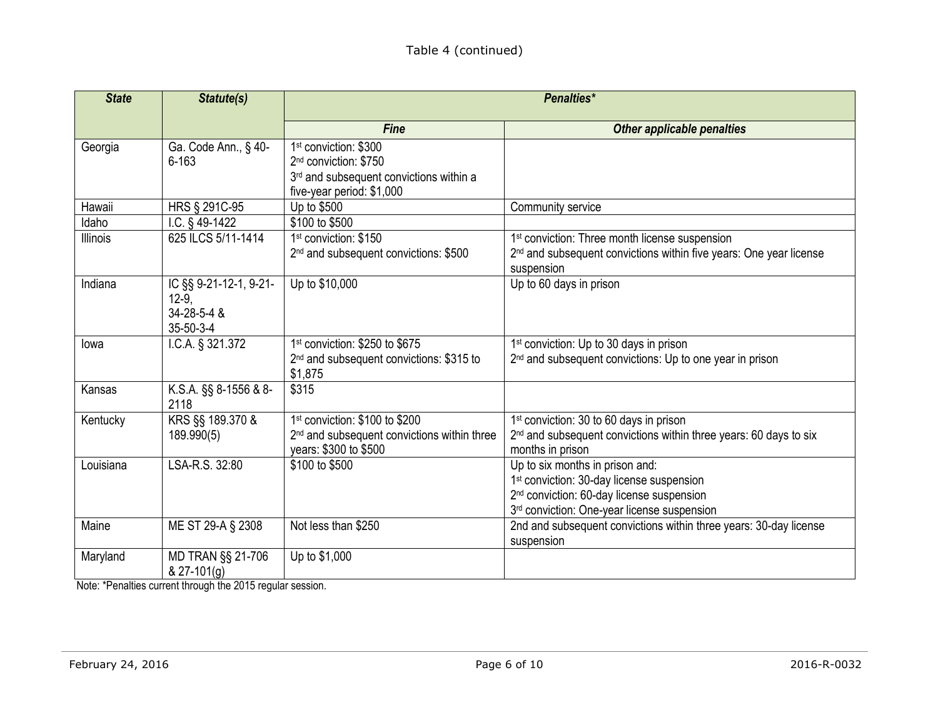| <b>State</b>    | Statute(s)                                                    | <b>Penalties*</b>                                                                                                                              |                                                                                                                                                                                                  |
|-----------------|---------------------------------------------------------------|------------------------------------------------------------------------------------------------------------------------------------------------|--------------------------------------------------------------------------------------------------------------------------------------------------------------------------------------------------|
|                 |                                                               | <b>Fine</b>                                                                                                                                    | Other applicable penalties                                                                                                                                                                       |
| Georgia         | Ga. Code Ann., § 40-<br>$6 - 163$                             | 1 <sup>st</sup> conviction: \$300<br>2 <sup>nd</sup> conviction: \$750<br>3rd and subsequent convictions within a<br>five-year period: \$1,000 |                                                                                                                                                                                                  |
| Hawaii          | HRS § 291C-95                                                 | Up to \$500                                                                                                                                    | Community service                                                                                                                                                                                |
| Idaho           | I.C. $§$ 49-1422                                              | \$100 to \$500                                                                                                                                 |                                                                                                                                                                                                  |
| <b>Illinois</b> | 625 ILCS 5/11-1414                                            | 1 <sup>st</sup> conviction: \$150<br>2 <sup>nd</sup> and subsequent convictions: \$500                                                         | 1 <sup>st</sup> conviction: Three month license suspension<br>2 <sup>nd</sup> and subsequent convictions within five years: One year license<br>suspension                                       |
| Indiana         | IC §§ 9-21-12-1, 9-21-<br>$12-9,$<br>34-28-5-4 &<br>35-50-3-4 | Up to \$10,000                                                                                                                                 | Up to 60 days in prison                                                                                                                                                                          |
| lowa            | I.C.A. § 321.372                                              | 1st conviction: \$250 to \$675<br>2 <sup>nd</sup> and subsequent convictions: \$315 to<br>\$1,875                                              | 1 <sup>st</sup> conviction: Up to 30 days in prison<br>2 <sup>nd</sup> and subsequent convictions: Up to one year in prison                                                                      |
| Kansas          | K.S.A. §§ 8-1556 & 8-<br>2118                                 | \$315                                                                                                                                          |                                                                                                                                                                                                  |
| Kentucky        | KRS §§ 189.370 &<br>189.990(5)                                | 1 <sup>st</sup> conviction: \$100 to \$200<br>2 <sup>nd</sup> and subsequent convictions within three<br>years: \$300 to \$500                 | 1 <sup>st</sup> conviction: 30 to 60 days in prison<br>2 <sup>nd</sup> and subsequent convictions within three years: 60 days to six<br>months in prison                                         |
| Louisiana       | LSA-R.S. 32:80                                                | \$100 to \$500                                                                                                                                 | Up to six months in prison and:<br>1 <sup>st</sup> conviction: 30-day license suspension<br>2 <sup>nd</sup> conviction: 60-day license suspension<br>3rd conviction: One-year license suspension |
| Maine           | ME ST 29-A § 2308                                             | Not less than \$250                                                                                                                            | 2nd and subsequent convictions within three years: 30-day license<br>suspension                                                                                                                  |
| Maryland        | MD TRAN §§ 21-706<br>$& 27 - 101(g)$                          | Up to \$1,000                                                                                                                                  |                                                                                                                                                                                                  |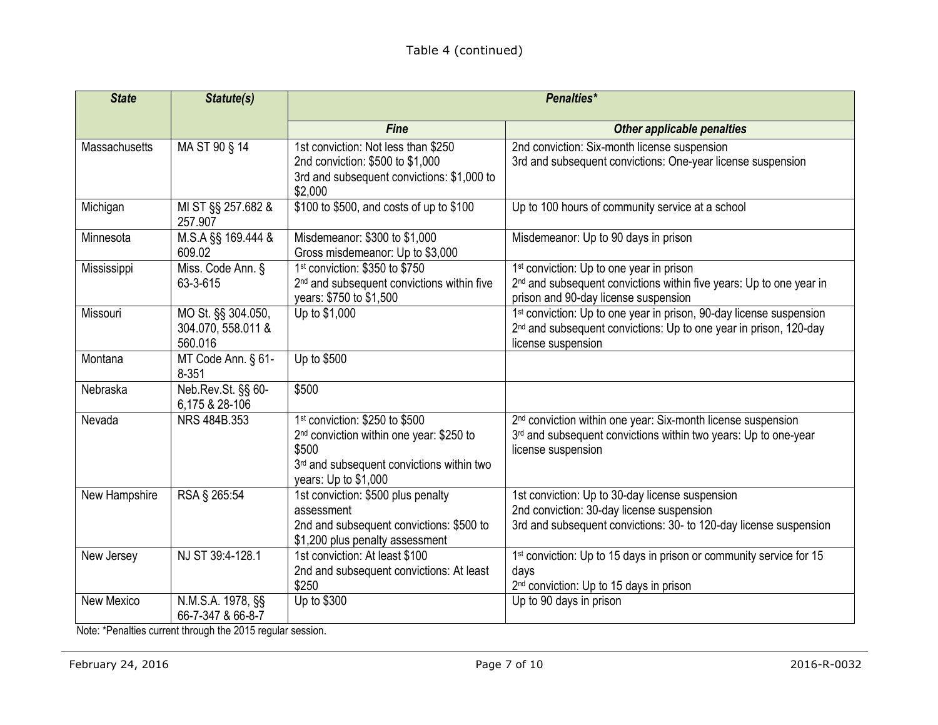| <b>State</b>  | Statute(s)                                          | <b>Penalties*</b>                                                                                                                                                                |                                                                                                                                                                                        |
|---------------|-----------------------------------------------------|----------------------------------------------------------------------------------------------------------------------------------------------------------------------------------|----------------------------------------------------------------------------------------------------------------------------------------------------------------------------------------|
|               |                                                     | <b>Fine</b>                                                                                                                                                                      | <b>Other applicable penalties</b>                                                                                                                                                      |
| Massachusetts | MA ST 90 § 14                                       | 1st conviction: Not less than \$250<br>2nd conviction: \$500 to \$1,000<br>3rd and subsequent convictions: \$1,000 to<br>\$2,000                                                 | 2nd conviction: Six-month license suspension<br>3rd and subsequent convictions: One-year license suspension                                                                            |
| Michigan      | MI ST §§ 257.682 &<br>257.907                       | \$100 to \$500, and costs of up to \$100                                                                                                                                         | Up to 100 hours of community service at a school                                                                                                                                       |
| Minnesota     | M.S.A §§ 169.444 &<br>609.02                        | Misdemeanor: \$300 to \$1,000<br>Gross misdemeanor: Up to \$3,000                                                                                                                | Misdemeanor: Up to 90 days in prison                                                                                                                                                   |
| Mississippi   | Miss. Code Ann. §<br>63-3-615                       | 1 <sup>st</sup> conviction: \$350 to \$750<br>2 <sup>nd</sup> and subsequent convictions within five<br>years: \$750 to \$1,500                                                  | 1 <sup>st</sup> conviction: Up to one year in prison<br>2 <sup>nd</sup> and subsequent convictions within five years: Up to one year in<br>prison and 90-day license suspension        |
| Missouri      | MO St. §§ 304.050,<br>304.070, 558.011 &<br>560.016 | Up to \$1,000                                                                                                                                                                    | 1 <sup>st</sup> conviction: Up to one year in prison, 90-day license suspension<br>2 <sup>nd</sup> and subsequent convictions: Up to one year in prison, 120-day<br>license suspension |
| Montana       | MT Code Ann. § 61-<br>$8 - 351$                     | Up to \$500                                                                                                                                                                      |                                                                                                                                                                                        |
| Nebraska      | Neb.Rev.St. §§ 60-<br>6,175 & 28-106                | \$500                                                                                                                                                                            |                                                                                                                                                                                        |
| Nevada        | NRS 484B.353                                        | 1 <sup>st</sup> conviction: \$250 to \$500<br>2 <sup>nd</sup> conviction within one year: \$250 to<br>\$500<br>3rd and subsequent convictions within two<br>years: Up to \$1,000 | 2 <sup>nd</sup> conviction within one year: Six-month license suspension<br>3rd and subsequent convictions within two years: Up to one-year<br>license suspension                      |
| New Hampshire | RSA § 265:54                                        | 1st conviction: \$500 plus penalty<br>assessment<br>2nd and subsequent convictions: \$500 to<br>\$1,200 plus penalty assessment                                                  | 1st conviction: Up to 30-day license suspension<br>2nd conviction: 30-day license suspension<br>3rd and subsequent convictions: 30- to 120-day license suspension                      |
| New Jersey    | NJ ST 39:4-128.1                                    | 1st conviction: At least \$100<br>2nd and subsequent convictions: At least<br>\$250                                                                                              | 1st conviction: Up to 15 days in prison or community service for 15<br>days<br>2 <sup>nd</sup> conviction: Up to 15 days in prison                                                     |
| New Mexico    | N.M.S.A. 1978, §§<br>66-7-347 & 66-8-7              | Up to \$300                                                                                                                                                                      | $\overline{Up}$ to 90 days in prison                                                                                                                                                   |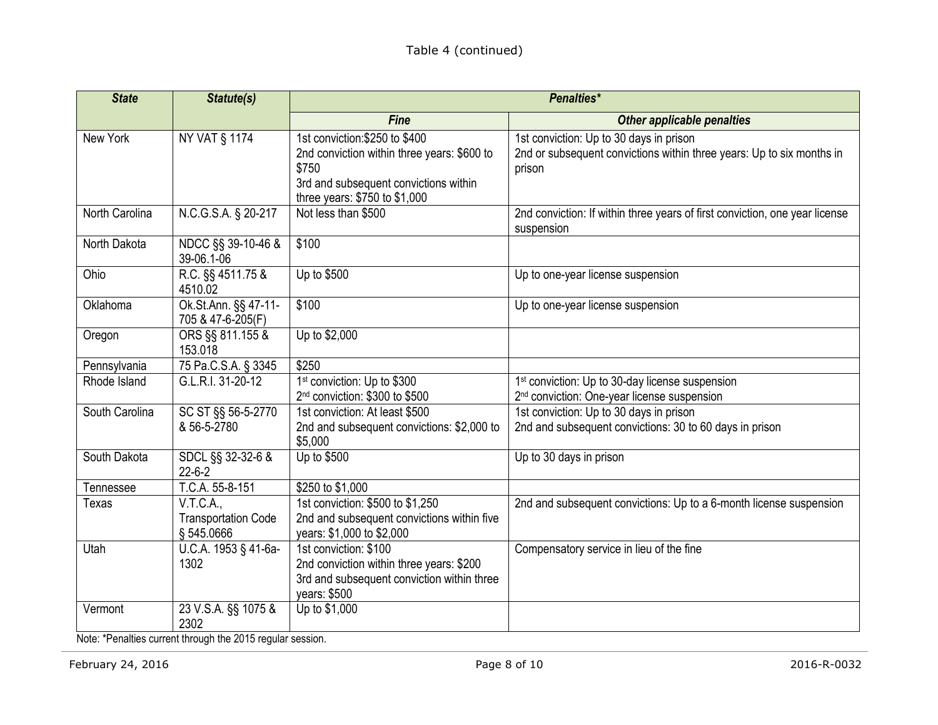| <b>State</b>   | Statute(s)                                            | Penalties*                                                                                                                                                       |                                                                                                                            |
|----------------|-------------------------------------------------------|------------------------------------------------------------------------------------------------------------------------------------------------------------------|----------------------------------------------------------------------------------------------------------------------------|
|                |                                                       | <b>Fine</b>                                                                                                                                                      | <b>Other applicable penalties</b>                                                                                          |
| New York       | <b>NY VAT § 1174</b>                                  | 1st conviction: \$250 to \$400<br>2nd conviction within three years: \$600 to<br>\$750<br>3rd and subsequent convictions within<br>three years: \$750 to \$1,000 | 1st conviction: Up to 30 days in prison<br>2nd or subsequent convictions within three years: Up to six months in<br>prison |
| North Carolina | N.C.G.S.A. § 20-217                                   | Not less than \$500                                                                                                                                              | 2nd conviction: If within three years of first conviction, one year license<br>suspension                                  |
| North Dakota   | NDCC §§ 39-10-46 &<br>39-06.1-06                      | \$100                                                                                                                                                            |                                                                                                                            |
| Ohio           | R.C. §§ 4511.75 &<br>4510.02                          | Up to \$500                                                                                                                                                      | Up to one-year license suspension                                                                                          |
| Oklahoma       | Ok.St.Ann. §§ 47-11-<br>705 & 47-6-205(F)             | \$100                                                                                                                                                            | Up to one-year license suspension                                                                                          |
| Oregon         | ORS §§ 811.155 &<br>153.018                           | Up to \$2,000                                                                                                                                                    |                                                                                                                            |
| Pennsylvania   | 75 Pa.C.S.A. § 3345                                   | \$250                                                                                                                                                            |                                                                                                                            |
| Rhode Island   | G.L.R.I. 31-20-12                                     | 1 <sup>st</sup> conviction: Up to \$300<br>2 <sup>nd</sup> conviction: \$300 to \$500                                                                            | 1 <sup>st</sup> conviction: Up to 30-day license suspension<br>2 <sup>nd</sup> conviction: One-year license suspension     |
| South Carolina | SC ST §§ 56-5-2770<br>& 56-5-2780                     | 1st conviction: At least \$500<br>2nd and subsequent convictions: \$2,000 to<br>\$5,000                                                                          | 1st conviction: Up to 30 days in prison<br>2nd and subsequent convictions: 30 to 60 days in prison                         |
| South Dakota   | SDCL §§ 32-32-6 &<br>$22 - 6 - 2$                     | Up to \$500                                                                                                                                                      | Up to 30 days in prison                                                                                                    |
| Tennessee      | T.C.A. 55-8-151                                       | \$250 to \$1,000                                                                                                                                                 |                                                                                                                            |
| Texas          | V.T.C.A.,<br><b>Transportation Code</b><br>§ 545.0666 | 1st conviction: \$500 to \$1,250<br>2nd and subsequent convictions within five<br>years: \$1,000 to \$2,000                                                      | 2nd and subsequent convictions: Up to a 6-month license suspension                                                         |
| Utah           | U.C.A. 1953 § 41-6a-<br>1302                          | 1st conviction: \$100<br>2nd conviction within three years: \$200<br>3rd and subsequent conviction within three<br>years: \$500                                  | Compensatory service in lieu of the fine                                                                                   |
| Vermont        | 23 V.S.A. §§ 1075 &<br>2302                           | Up to \$1,000                                                                                                                                                    |                                                                                                                            |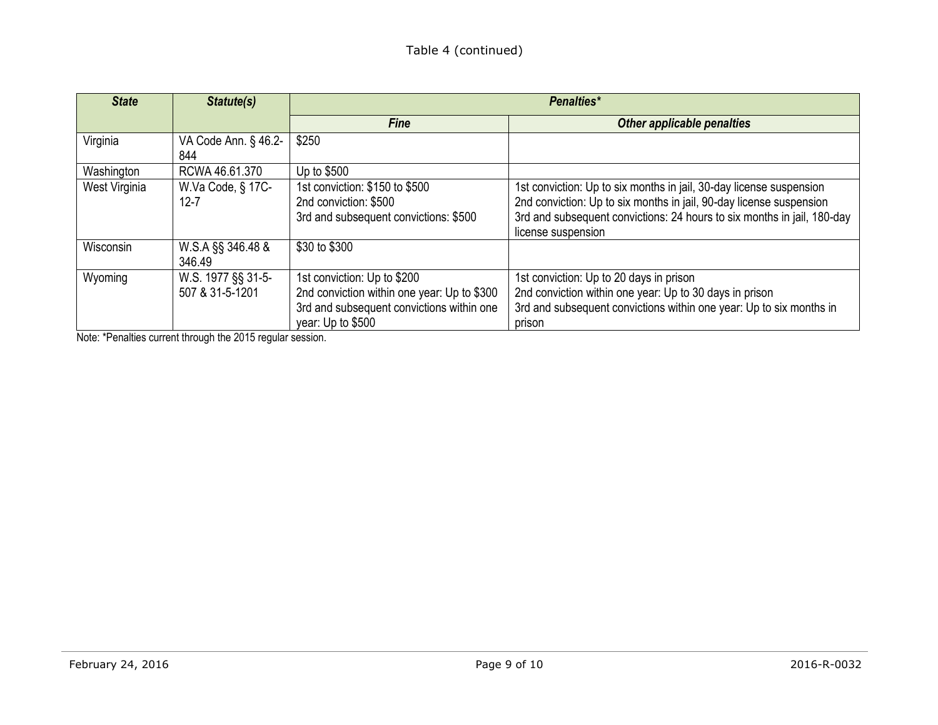| <b>State</b>  | Statute(s)                            | Penalties*                                                                                                                                   |                                                                                                                                                                                                                                             |
|---------------|---------------------------------------|----------------------------------------------------------------------------------------------------------------------------------------------|---------------------------------------------------------------------------------------------------------------------------------------------------------------------------------------------------------------------------------------------|
|               |                                       | <b>Fine</b>                                                                                                                                  | <b>Other applicable penalties</b>                                                                                                                                                                                                           |
| Virginia      | VA Code Ann. § 46.2-<br>844           | \$250                                                                                                                                        |                                                                                                                                                                                                                                             |
| Washington    | RCWA 46.61.370                        | Up to \$500                                                                                                                                  |                                                                                                                                                                                                                                             |
| West Virginia | W.Va Code, § 17C-<br>$12 - 7$         | 1st conviction: \$150 to \$500<br>2nd conviction: \$500<br>3rd and subsequent convictions: \$500                                             | 1st conviction: Up to six months in jail, 30-day license suspension<br>2nd conviction: Up to six months in jail, 90-day license suspension<br>3rd and subsequent convictions: 24 hours to six months in jail, 180-day<br>license suspension |
| Wisconsin     | W.S.A §§ 346.48 &<br>346.49           | \$30 to \$300                                                                                                                                |                                                                                                                                                                                                                                             |
| Wyoming       | W.S. 1977 §§ 31-5-<br>507 & 31-5-1201 | 1st conviction: Up to \$200<br>2nd conviction within one year: Up to \$300<br>3rd and subsequent convictions within one<br>year: Up to \$500 | 1st conviction: Up to 20 days in prison<br>2nd conviction within one year: Up to 30 days in prison<br>3rd and subsequent convictions within one year: Up to six months in<br>prison                                                         |